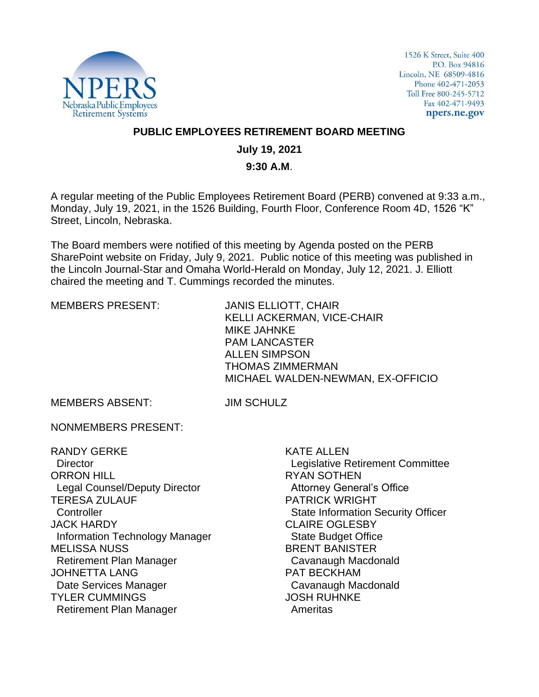

1526 K Street, Suite 400 P.O. Box 94816 Lincoln, NE 68509-4816 Phone 402-471-2053 Toll Free 800-245-5712 Fax 402-471-9493 npers.ne.gov

### **PUBLIC EMPLOYEES RETIREMENT BOARD MEETING**

## **July 19, 2021**

#### **9:30 A.M**.

A regular meeting of the Public Employees Retirement Board (PERB) convened at 9:33 a.m., Monday, July 19, 2021, in the 1526 Building, Fourth Floor, Conference Room 4D, 1526 "K" Street, Lincoln, Nebraska.

The Board members were notified of this meeting by Agenda posted on the PERB SharePoint website on Friday, July 9, 2021. Public notice of this meeting was published in the Lincoln Journal-Star and Omaha World-Herald on Monday, July 12, 2021. J. Elliott chaired the meeting and T. Cummings recorded the minutes.

MEMBERS PRESENT: JANIS ELLIOTT, CHAIR KELLI ACKERMAN, VICE-CHAIR MIKE JAHNKE PAM LANCASTER ALLEN SIMPSON THOMAS ZIMMERMAN MICHAEL WALDEN-NEWMAN, EX-OFFICIO

MEMBERS ABSENT: JIM SCHULZ

NONMEMBERS PRESENT:

RANDY GERKE **Director** ORRON HILL Legal Counsel/Deputy Director TERESA ZULAUF **Controller** JACK HARDY Information Technology Manager MELISSA NUSS Retirement Plan Manager JOHNETTA LANG Date Services Manager TYLER CUMMINGS Retirement Plan Manager

KATE ALLEN Legislative Retirement Committee RYAN SOTHEN Attorney General's Office PATRICK WRIGHT State Information Security Officer CLAIRE OGLESBY State Budget Office BRENT BANISTER Cavanaugh Macdonald PAT BECKHAM Cavanaugh Macdonald JOSH RUHNKE Ameritas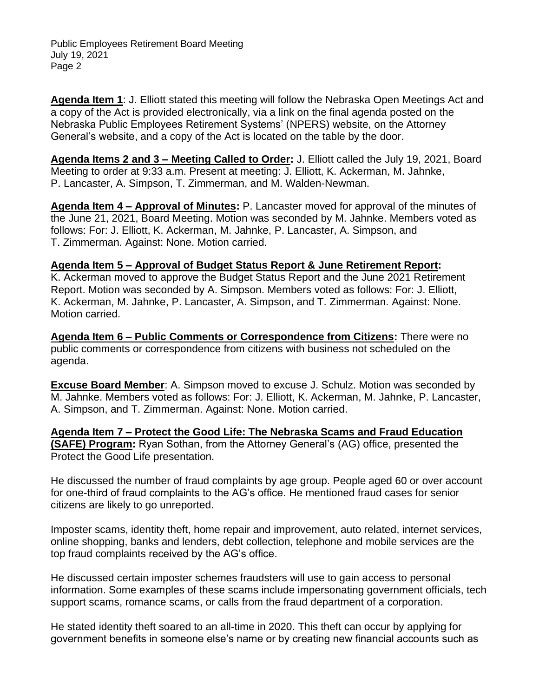**Agenda Item 1**: J. Elliott stated this meeting will follow the Nebraska Open Meetings Act and a copy of the Act is provided electronically, via a link on the final agenda posted on the Nebraska Public Employees Retirement Systems' (NPERS) website, on the Attorney General's website, and a copy of the Act is located on the table by the door.

**Agenda Items 2 and 3 – Meeting Called to Order:** J. Elliott called the July 19, 2021, Board Meeting to order at 9:33 a.m. Present at meeting: J. Elliott, K. Ackerman, M. Jahnke, P. Lancaster, A. Simpson, T. Zimmerman, and M. Walden-Newman.

**Agenda Item 4 – Approval of Minutes:** P. Lancaster moved for approval of the minutes of the June 21, 2021, Board Meeting. Motion was seconded by M. Jahnke. Members voted as follows: For: J. Elliott, K. Ackerman, M. Jahnke, P. Lancaster, A. Simpson, and T. Zimmerman. Against: None. Motion carried.

#### **Agenda Item 5 – Approval of Budget Status Report & June Retirement Report:**

K. Ackerman moved to approve the Budget Status Report and the June 2021 Retirement Report. Motion was seconded by A. Simpson. Members voted as follows: For: J. Elliott, K. Ackerman, M. Jahnke, P. Lancaster, A. Simpson, and T. Zimmerman. Against: None. Motion carried.

**Agenda Item 6 – Public Comments or Correspondence from Citizens:** There were no public comments or correspondence from citizens with business not scheduled on the agenda.

**Excuse Board Member**: A. Simpson moved to excuse J. Schulz. Motion was seconded by M. Jahnke. Members voted as follows: For: J. Elliott, K. Ackerman, M. Jahnke, P. Lancaster, A. Simpson, and T. Zimmerman. Against: None. Motion carried.

**Agenda Item 7 – Protect the Good Life: The Nebraska Scams and Fraud Education (SAFE) Program:** Ryan Sothan, from the Attorney General's (AG) office, presented the Protect the Good Life presentation.

He discussed the number of fraud complaints by age group. People aged 60 or over account for one-third of fraud complaints to the AG's office. He mentioned fraud cases for senior citizens are likely to go unreported.

Imposter scams, identity theft, home repair and improvement, auto related, internet services, online shopping, banks and lenders, debt collection, telephone and mobile services are the top fraud complaints received by the AG's office.

He discussed certain imposter schemes fraudsters will use to gain access to personal information. Some examples of these scams include impersonating government officials, tech support scams, romance scams, or calls from the fraud department of a corporation.

He stated identity theft soared to an all-time in 2020. This theft can occur by applying for government benefits in someone else's name or by creating new financial accounts such as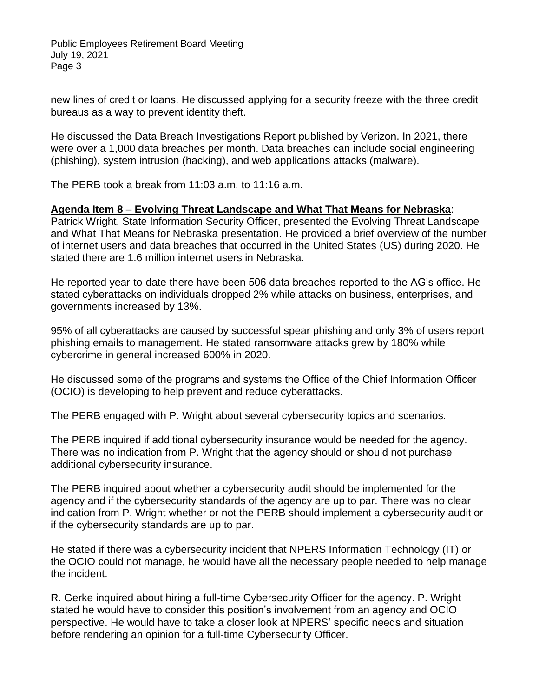new lines of credit or loans. He discussed applying for a security freeze with the three credit bureaus as a way to prevent identity theft.

He discussed the Data Breach Investigations Report published by Verizon. In 2021, there were over a 1,000 data breaches per month. Data breaches can include social engineering (phishing), system intrusion (hacking), and web applications attacks (malware).

The PERB took a break from 11:03 a.m. to 11:16 a.m.

#### **Agenda Item 8 – Evolving Threat Landscape and What That Means for Nebraska**:

Patrick Wright, State Information Security Officer, presented the Evolving Threat Landscape and What That Means for Nebraska presentation. He provided a brief overview of the number of internet users and data breaches that occurred in the United States (US) during 2020. He stated there are 1.6 million internet users in Nebraska.

He reported year-to-date there have been 506 data breaches reported to the AG's office. He stated cyberattacks on individuals dropped 2% while attacks on business, enterprises, and governments increased by 13%.

95% of all cyberattacks are caused by successful spear phishing and only 3% of users report phishing emails to management. He stated ransomware attacks grew by 180% while cybercrime in general increased 600% in 2020.

He discussed some of the programs and systems the Office of the Chief Information Officer (OCIO) is developing to help prevent and reduce cyberattacks.

The PERB engaged with P. Wright about several cybersecurity topics and scenarios.

The PERB inquired if additional cybersecurity insurance would be needed for the agency. There was no indication from P. Wright that the agency should or should not purchase additional cybersecurity insurance.

The PERB inquired about whether a cybersecurity audit should be implemented for the agency and if the cybersecurity standards of the agency are up to par. There was no clear indication from P. Wright whether or not the PERB should implement a cybersecurity audit or if the cybersecurity standards are up to par.

He stated if there was a cybersecurity incident that NPERS Information Technology (IT) or the OCIO could not manage, he would have all the necessary people needed to help manage the incident.

R. Gerke inquired about hiring a full-time Cybersecurity Officer for the agency. P. Wright stated he would have to consider this position's involvement from an agency and OCIO perspective. He would have to take a closer look at NPERS' specific needs and situation before rendering an opinion for a full-time Cybersecurity Officer.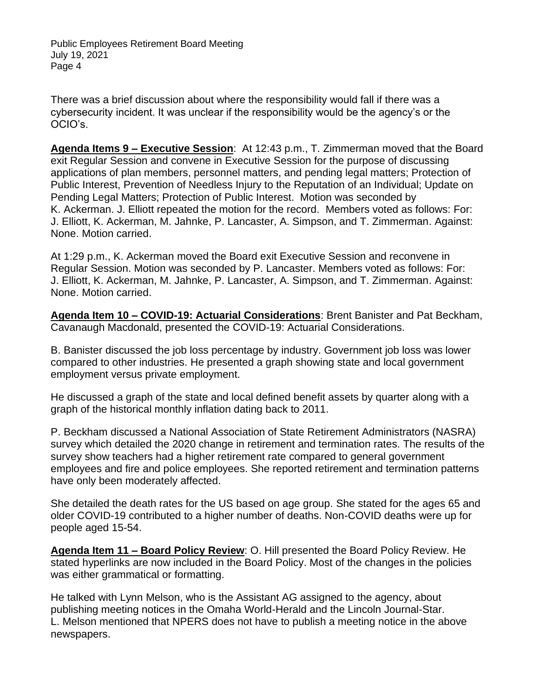There was a brief discussion about where the responsibility would fall if there was a cybersecurity incident. It was unclear if the responsibility would be the agency's or the OCIO's.

**Agenda Items 9 – Executive Session**: At 12:43 p.m., T. Zimmerman moved that the Board exit Regular Session and convene in Executive Session for the purpose of discussing applications of plan members, personnel matters, and pending legal matters; Protection of Public Interest, Prevention of Needless Injury to the Reputation of an Individual; Update on Pending Legal Matters; Protection of Public Interest. Motion was seconded by K. Ackerman. J. Elliott repeated the motion for the record. Members voted as follows: For: J. Elliott, K. Ackerman, M. Jahnke, P. Lancaster, A. Simpson, and T. Zimmerman. Against: None. Motion carried.

At 1:29 p.m., K. Ackerman moved the Board exit Executive Session and reconvene in Regular Session. Motion was seconded by P. Lancaster. Members voted as follows: For: J. Elliott, K. Ackerman, M. Jahnke, P. Lancaster, A. Simpson, and T. Zimmerman. Against: None. Motion carried.

**Agenda Item 10 – COVID-19: Actuarial Considerations**: Brent Banister and Pat Beckham, Cavanaugh Macdonald, presented the COVID-19: Actuarial Considerations.

B. Banister discussed the job loss percentage by industry. Government job loss was lower compared to other industries. He presented a graph showing state and local government employment versus private employment.

He discussed a graph of the state and local defined benefit assets by quarter along with a graph of the historical monthly inflation dating back to 2011.

P. Beckham discussed a National Association of State Retirement Administrators (NASRA) survey which detailed the 2020 change in retirement and termination rates. The results of the survey show teachers had a higher retirement rate compared to general government employees and fire and police employees. She reported retirement and termination patterns have only been moderately affected.

She detailed the death rates for the US based on age group. She stated for the ages 65 and older COVID-19 contributed to a higher number of deaths. Non-COVID deaths were up for people aged 15-54.

**Agenda Item 11 – Board Policy Review**: O. Hill presented the Board Policy Review. He stated hyperlinks are now included in the Board Policy. Most of the changes in the policies was either grammatical or formatting.

He talked with Lynn Melson, who is the Assistant AG assigned to the agency, about publishing meeting notices in the Omaha World-Herald and the Lincoln Journal-Star. L. Melson mentioned that NPERS does not have to publish a meeting notice in the above newspapers.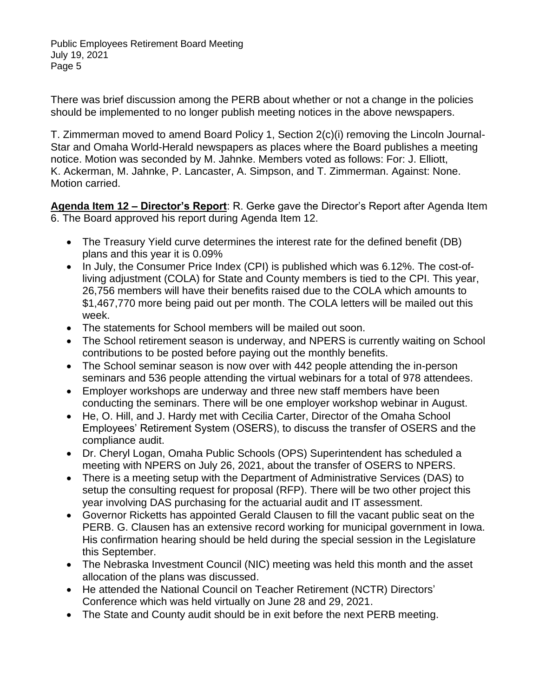There was brief discussion among the PERB about whether or not a change in the policies should be implemented to no longer publish meeting notices in the above newspapers.

T. Zimmerman moved to amend Board Policy 1, Section 2(c)(i) removing the Lincoln Journal-Star and Omaha World-Herald newspapers as places where the Board publishes a meeting notice. Motion was seconded by M. Jahnke. Members voted as follows: For: J. Elliott, K. Ackerman, M. Jahnke, P. Lancaster, A. Simpson, and T. Zimmerman. Against: None. Motion carried.

**Agenda Item 12 – Director's Report**: R. Gerke gave the Director's Report after Agenda Item 6. The Board approved his report during Agenda Item 12.

- The Treasury Yield curve determines the interest rate for the defined benefit (DB) plans and this year it is 0.09%
- In July, the Consumer Price Index (CPI) is published which was 6.12%. The cost-ofliving adjustment (COLA) for State and County members is tied to the CPI. This year, 26,756 members will have their benefits raised due to the COLA which amounts to \$1,467,770 more being paid out per month. The COLA letters will be mailed out this week.
- The statements for School members will be mailed out soon.
- The School retirement season is underway, and NPERS is currently waiting on School contributions to be posted before paying out the monthly benefits.
- The School seminar season is now over with 442 people attending the in-person seminars and 536 people attending the virtual webinars for a total of 978 attendees.
- Employer workshops are underway and three new staff members have been conducting the seminars. There will be one employer workshop webinar in August.
- He, O. Hill, and J. Hardy met with Cecilia Carter, Director of the Omaha School Employees' Retirement System (OSERS), to discuss the transfer of OSERS and the compliance audit.
- Dr. Cheryl Logan, Omaha Public Schools (OPS) Superintendent has scheduled a meeting with NPERS on July 26, 2021, about the transfer of OSERS to NPERS.
- There is a meeting setup with the Department of Administrative Services (DAS) to setup the consulting request for proposal (RFP). There will be two other project this year involving DAS purchasing for the actuarial audit and IT assessment.
- Governor Ricketts has appointed Gerald Clausen to fill the vacant public seat on the PERB. G. Clausen has an extensive record working for municipal government in Iowa. His confirmation hearing should be held during the special session in the Legislature this September.
- The Nebraska Investment Council (NIC) meeting was held this month and the asset allocation of the plans was discussed.
- He attended the National Council on Teacher Retirement (NCTR) Directors' Conference which was held virtually on June 28 and 29, 2021.
- The State and County audit should be in exit before the next PERB meeting.